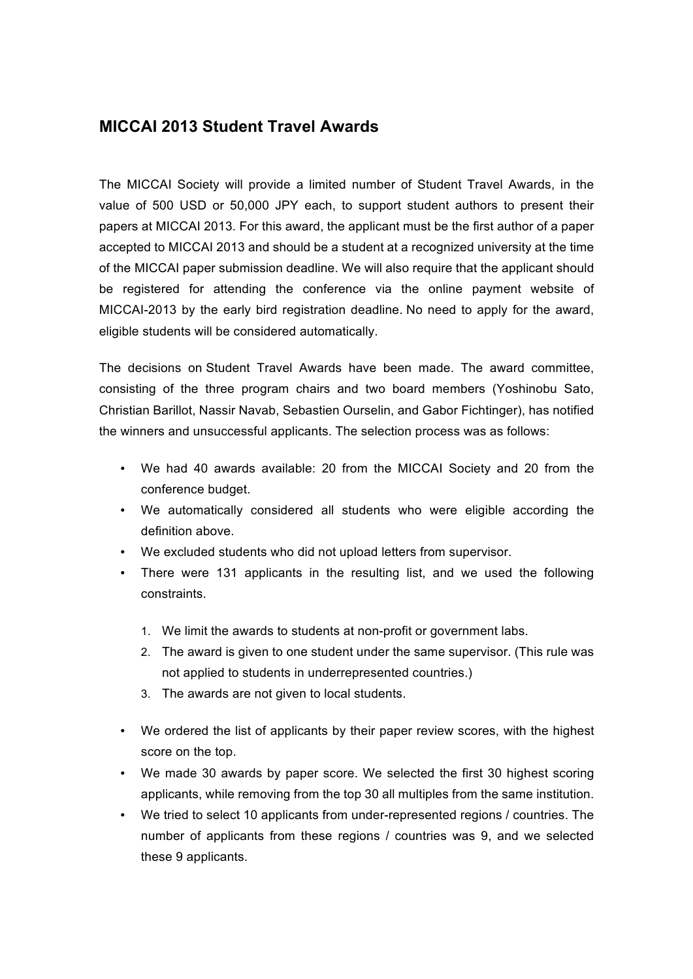## **MICCAI 2013 Student Travel Awards**

The MICCAI Society will provide a limited number of Student Travel Awards, in the value of 500 USD or 50,000 JPY each, to support student authors to present their papers at MICCAI 2013. For this award, the applicant must be the first author of a paper accepted to MICCAI 2013 and should be a student at a recognized university at the time of the MICCAI paper submission deadline. We will also require that the applicant should be registered for attending the conference via the online payment website of MICCAI-2013 by the early bird registration deadline. No need to apply for the award, eligible students will be considered automatically.

The decisions on Student Travel Awards have been made. The award committee, consisting of the three program chairs and two board members (Yoshinobu Sato, Christian Barillot, Nassir Navab, Sebastien Ourselin, and Gabor Fichtinger), has notified the winners and unsuccessful applicants. The selection process was as follows:

- We had 40 awards available: 20 from the MICCAI Society and 20 from the conference budget.
- We automatically considered all students who were eligible according the definition above.
- We excluded students who did not upload letters from supervisor.
- There were 131 applicants in the resulting list, and we used the following constraints.
	- 1. We limit the awards to students at non-profit or government labs.
	- 2. The award is given to one student under the same supervisor. (This rule was not applied to students in underrepresented countries.)
	- 3. The awards are not given to local students.
- We ordered the list of applicants by their paper review scores, with the highest score on the top.
- We made 30 awards by paper score. We selected the first 30 highest scoring applicants, while removing from the top 30 all multiples from the same institution.
- We tried to select 10 applicants from under-represented regions / countries. The number of applicants from these regions / countries was 9, and we selected these 9 applicants.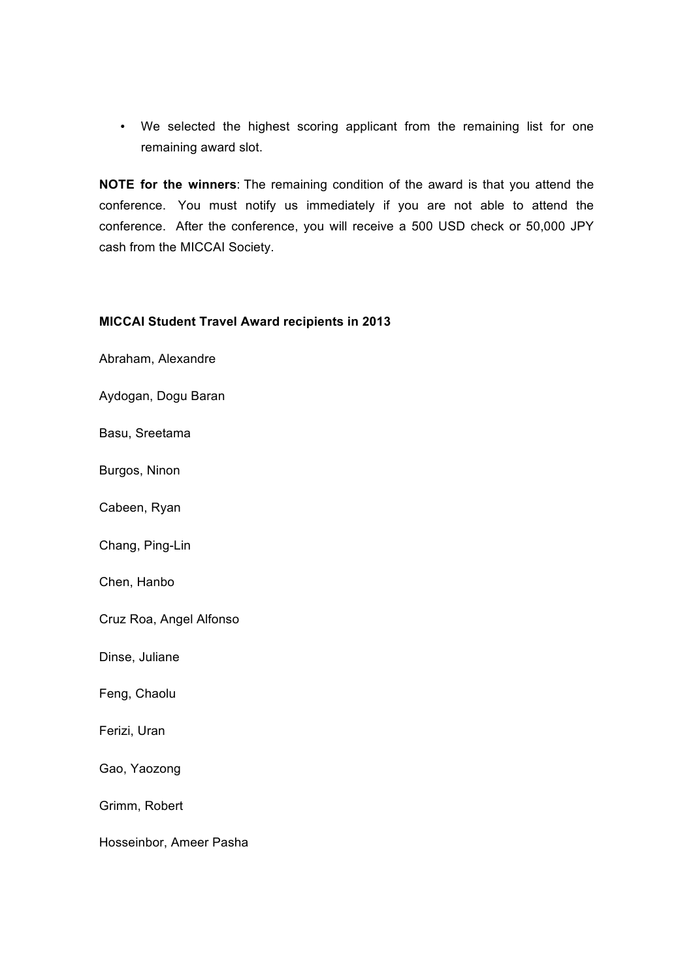• We selected the highest scoring applicant from the remaining list for one remaining award slot.

**NOTE for the winners**: The remaining condition of the award is that you attend the conference. You must notify us immediately if you are not able to attend the conference. After the conference, you will receive a 500 USD check or 50,000 JPY cash from the MICCAI Society.

## **MICCAI Student Travel Award recipients in 2013**

Abraham, Alexandre

Aydogan, Dogu Baran

Basu, Sreetama

Burgos, Ninon

Cabeen, Ryan

Chang, Ping-Lin

Chen, Hanbo

Cruz Roa, Angel Alfonso

Dinse, Juliane

Feng, Chaolu

Ferizi, Uran

Gao, Yaozong

Grimm, Robert

Hosseinbor, Ameer Pasha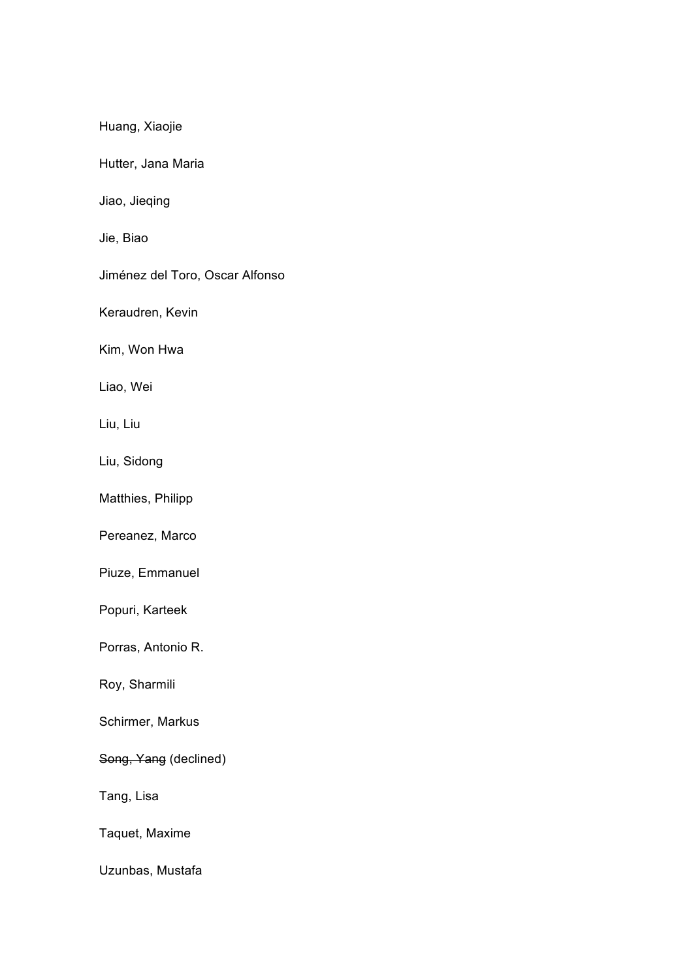Huang, Xiaojie

Hutter, Jana Maria

Jiao, Jieqing

Jie, Biao

Jiménez del Toro, Oscar Alfonso

Keraudren, Kevin

Kim, Won Hwa

Liao, Wei

Liu, Liu

Liu, Sidong

Matthies, Philipp

Pereanez, Marco

Piuze, Emmanuel

Popuri, Karteek

Porras, Antonio R.

Roy, Sharmili

Schirmer, Markus

Song, Yang (declined)

Tang, Lisa

Taquet, Maxime

Uzunbas, Mustafa